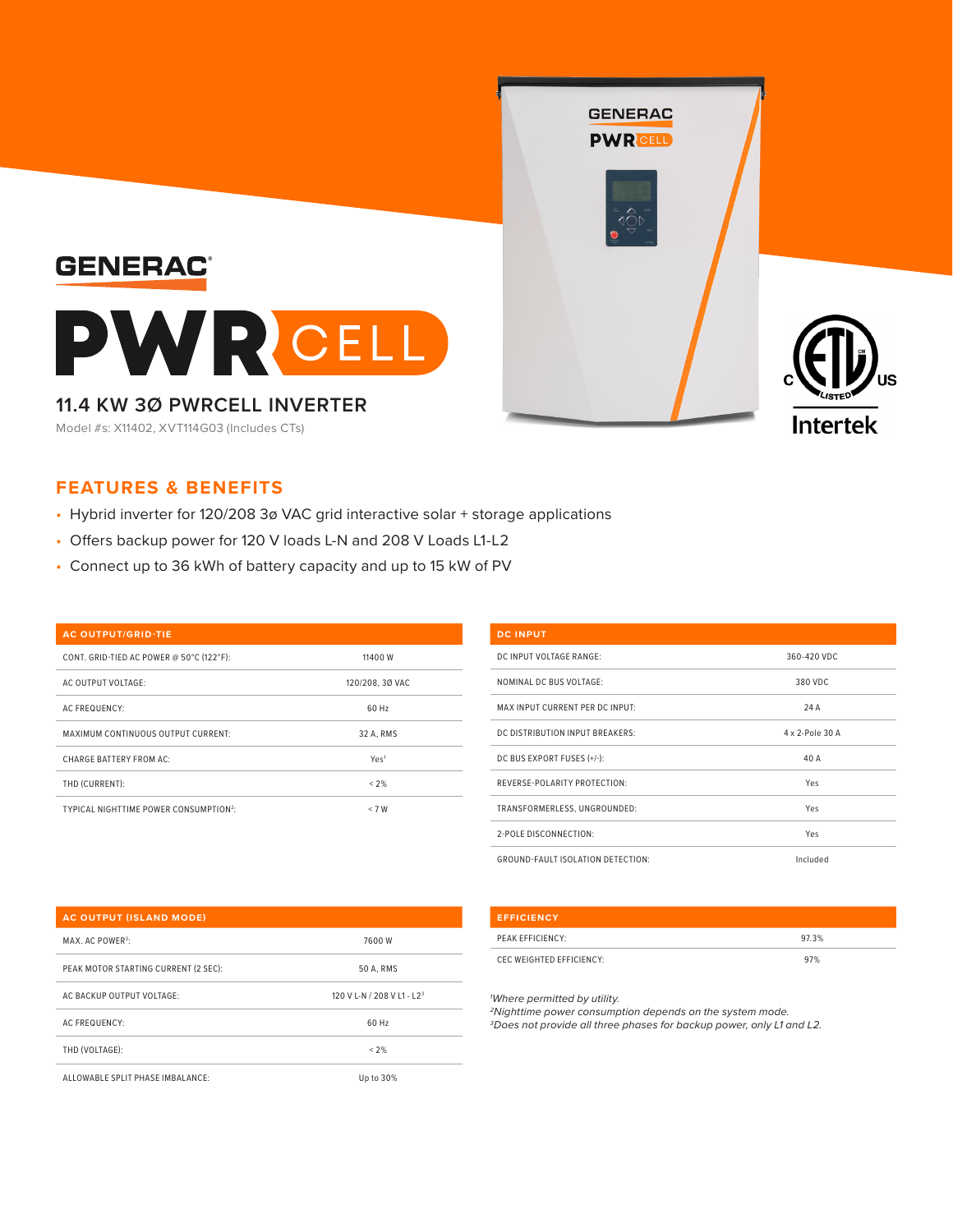

## **FEATURES & BENEFITS**

- Hybrid inverter for 120/208 3ø VAC grid interactive solar + storage applications
- Offers backup power for 120 V loads L-N and 208 V Loads L1-L2
- Connect up to 36 kWh of battery capacity and up to 15 kW of PV

#### **AC OUTPUT/GRID-TIE**

| CONT. GRID-TIED AC POWER @ 50°C (122°F):           | 11400 W          |
|----------------------------------------------------|------------------|
| AC OUTPUT VOLTAGE:                                 | 120/208, 30 VAC  |
| <b>AC FREQUENCY:</b>                               | 60 Hz            |
| MAXIMUM CONTINUOUS OUTPUT CURRENT:                 | 32 A. RMS        |
| CHARGE BATTERY FROM AC:                            | Yes <sup>1</sup> |
| THD (CURRENT):                                     | < 2%             |
| TYPICAL NIGHTTIME POWER CONSUMPTION <sup>2</sup> : | < 7 W            |

# **DC INPUT** DC INPUT VOLTAGE RANGE: 360-420 VDC NOMINAL DC BUS VOLTAGE: 380 VDC MAX INPUT CURRENT PER DC INPUT: 24 A DC DISTRIBUTION INPUT BREAKERS: 4 x 2-Pole 30 A DC BUS EXPORT FUSES (+/-): 40 A REVERSE-POLARITY PROTECTION: Yes TRANSFORMERLESS, UNGROUNDED: Yes 2-POLE DISCONNECTION: Yes GROUND-FAULT ISOLATION DETECTION: Included

#### **AC OUTPUT (ISLAND MODE)**

| MAX. AC POWER <sup>3</sup> :         | 7600 W                                 |
|--------------------------------------|----------------------------------------|
| PEAK MOTOR STARTING CURRENT (2 SEC): | 50 A. RMS                              |
| AC BACKUP OUTPUT VOLTAGE:            | 120 V L-N / 208 V L1 - L2 <sup>3</sup> |
| <b>AC FREQUENCY:</b>                 | 60 Hz                                  |
| THD (VOLTAGE):                       | < 2%                                   |
| ALLOWABLE SPLIT PHASE IMBALANCE:     | Up to 30%                              |

## **EFFICIENCY**

| PEAK EFFICIENCY:         | 97.3% |
|--------------------------|-------|
| CEC WEIGHTED EFFICIENCY: | 97%   |

*1 Where permitted by utility.* 

*2Nighttime power consumption depends on the system mode. 3Does not provide all three phases for backup power, only L1 and L2.*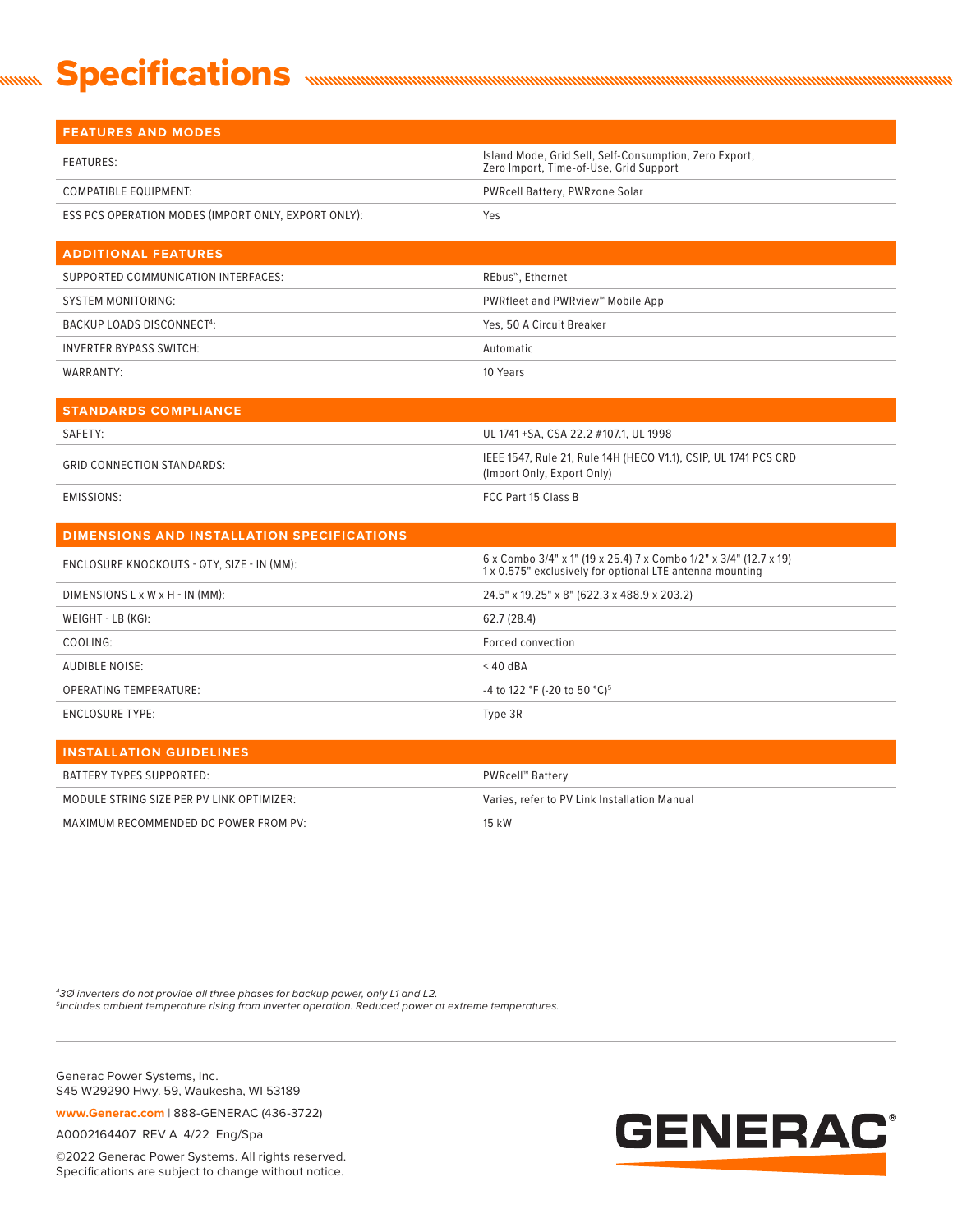## **Specifications** <u>mmm</u>

| <b>FEATURES AND MODES</b>                           |                                                                                                                               |
|-----------------------------------------------------|-------------------------------------------------------------------------------------------------------------------------------|
| <b>FEATURES:</b>                                    | Island Mode, Grid Sell, Self-Consumption, Zero Export,<br>Zero Import, Time-of-Use, Grid Support                              |
| <b>COMPATIBLE EQUIPMENT:</b>                        | PWRcell Battery, PWRzone Solar                                                                                                |
| ESS PCS OPERATION MODES (IMPORT ONLY, EXPORT ONLY): | Yes                                                                                                                           |
| <b>ADDITIONAL FEATURES</b>                          |                                                                                                                               |
| SUPPORTED COMMUNICATION INTERFACES:                 | REbus <sup>™</sup> , Ethernet                                                                                                 |
| <b>SYSTEM MONITORING:</b>                           | PWRfleet and PWRview™ Mobile App                                                                                              |
| <b>BACKUP LOADS DISCONNECT4:</b>                    | Yes, 50 A Circuit Breaker                                                                                                     |
| <b>INVERTER BYPASS SWITCH:</b>                      | Automatic                                                                                                                     |
| WARRANTY:                                           | 10 Years                                                                                                                      |
|                                                     |                                                                                                                               |
| <b>STANDARDS COMPLIANCE</b>                         |                                                                                                                               |
| SAFETY:                                             | UL 1741 +SA, CSA 22.2 #107.1, UL 1998                                                                                         |
| <b>GRID CONNECTION STANDARDS:</b>                   | IEEE 1547, Rule 21, Rule 14H (HECO V1.1), CSIP, UL 1741 PCS CRD<br>(Import Only, Export Only)                                 |
| <b>EMISSIONS:</b>                                   | FCC Part 15 Class B                                                                                                           |
| <b>DIMENSIONS AND INSTALLATION SPECIFICATIONS</b>   |                                                                                                                               |
| ENCLOSURE KNOCKOUTS - QTY, SIZE - IN (MM):          | 6 x Combo 3/4" x 1" (19 x 25.4) 7 x Combo 1/2" x 3/4" (12.7 x 19)<br>1 x 0.575" exclusively for optional LTE antenna mounting |
| DIMENSIONS L x W x H - IN (MM):                     | 24.5" x 19.25" x 8" (622.3 x 488.9 x 203.2)                                                                                   |
| WEIGHT - LB (KG):                                   | 62.7 (28.4)                                                                                                                   |
| COOLING:                                            | Forced convection                                                                                                             |
| <b>AUDIBLE NOISE:</b>                               | $<$ 40 dBA                                                                                                                    |
| <b>OPERATING TEMPERATURE:</b>                       | -4 to 122 °F (-20 to 50 °C) <sup>5</sup>                                                                                      |
| <b>ENCLOSURE TYPE:</b>                              | Type 3R                                                                                                                       |
| <b>INSTALLATION GUIDELINES</b>                      |                                                                                                                               |

| I INSTALLATION GOIDELINES.                |                                              |
|-------------------------------------------|----------------------------------------------|
| BATTERY TYPES SUPPORTED:                  | PWRcell™ Battery                             |
| MODULE STRING SIZE PER PV LINK OPTIMIZER: | Varies, refer to PV Link Installation Manual |
| MAXIMUM RECOMMENDED DC POWER FROM PV:     | 15 kW                                        |

*43Ø inverters do not provide all three phases for backup power, only L1 and L2. 5Includes ambient temperature rising from inverter operation. Reduced power at extreme temperatures.* 

Generac Power Systems, Inc. S45 W29290 Hwy. 59, Waukesha, WI 53189

**www.Generac.com** | 888-GENERAC (436-3722)

A0002164407 REV A 4/22 Eng/Spa

©2022 Generac Power Systems. All rights reserved. Specifications are subject to change without notice.

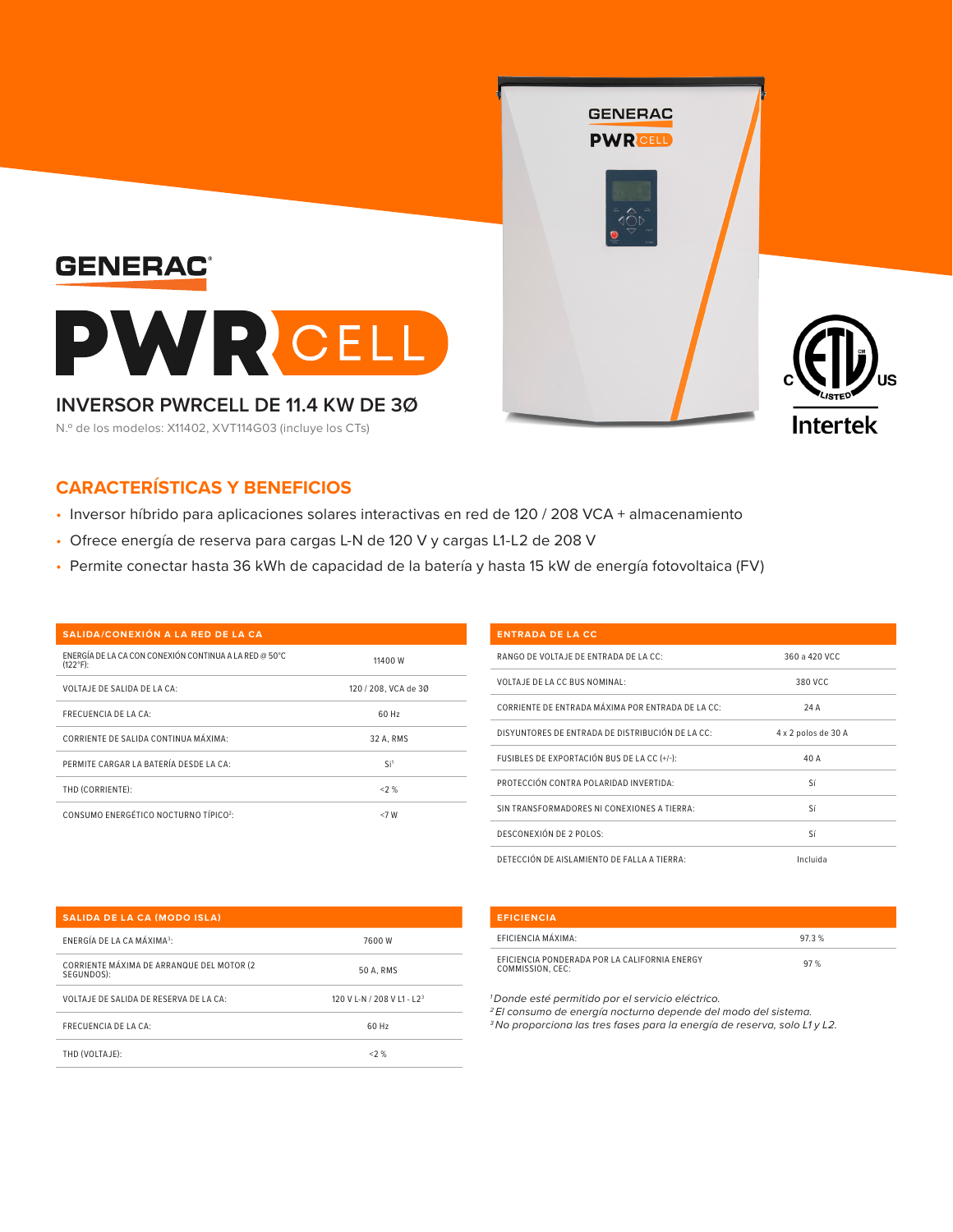

## **CARACTERÍSTICAS Y BENEFICIOS**

- Inversor híbrido para aplicaciones solares interactivas en red de 120 / 208 VCA + almacenamiento
- Ofrece energía de reserva para cargas L-N de 120 V y cargas L1-L2 de 208 V
- Permite conectar hasta 36 kWh de capacidad de la batería y hasta 15 kW de energía fotovoltaica (FV)

| SALIDA/CONEXIÓN A LA RED DE LA CA                                            |                      |
|------------------------------------------------------------------------------|----------------------|
| ENERGÍA DE LA CA CON CONEXIÓN CONTINUA A LA RED @ 50°C<br>$(122^{\circ}F)$ : | 11400 W              |
| VOLTAJE DE SALIDA DE LA CA:                                                  | 120 / 208, VCA de 30 |
| <b>FRECUENCIA DE LA CA:</b>                                                  | 60 Hz                |
| CORRIENTE DE SALIDA CONTINUA MÁXIMA:                                         | 32 A. RMS            |
| PERMITE CARGAR LA BATERÍA DESDE LA CA:                                       | Si <sup>1</sup>      |
| THD (CORRIENTE):                                                             | < 2%                 |
| CONSUMO ENERGÉTICO NOCTURNO TÍPICO <sup>2</sup> :                            | <7 W                 |

| <b>ENTRADA DE LA CC</b>                           |                     |
|---------------------------------------------------|---------------------|
| RANGO DE VOLTAJE DE ENTRADA DE LA CC:             | 360 a 420 VCC       |
| VOLTAJE DE LA CC BUS NOMINAL:                     | 380 VCC             |
| CORRIENTE DE ENTRADA MÁXIMA POR ENTRADA DE LA CC: | 24 A                |
| DISYUNTORES DE ENTRADA DE DISTRIBUCIÓN DE LA CC:  | 4 x 2 polos de 30 A |
| FUSIBLES DE EXPORTACIÓN BUS DE LA CC (+/-):       | 40 A                |
| PROTECCIÓN CONTRA POLARIDAD INVERTIDA:            | Sí                  |
| SIN TRANSFORMADORES NI CONEXIONES A TIERRA:       | Sí                  |
| DESCONEXIÓN DE 2 POLOS:                           | Sí                  |
| DETECCIÓN DE AISLAMIENTO DE FALLA A TIERRA:       | Incluida            |

| <b>SALIDA DE LA CA (MODO ISLA)</b>                      |                                        |
|---------------------------------------------------------|----------------------------------------|
| ENERGÍA DE LA CA MÁXIMA <sup>3</sup> :                  | 7600 W                                 |
| CORRIENTE MÁXIMA DE ARRANQUE DEL MOTOR (2<br>SEGUNDOS): | 50 A. RMS                              |
| VOLTAJE DE SALIDA DE RESERVA DE LA CA:                  | 120 V L-N / 208 V L1 - L2 <sup>3</sup> |
| FRECUENCIA DE LA CA:                                    | 60 Hz                                  |
| THD (VOLTAJE):                                          | <2 %                                   |

# **EFICIENCIA** EFICIENCIA MÁXIMA: 97.3 % EFICIENCIA PONDERADA POR LA CALIFORNIA ENERGY COMMISSION, CEC: 97 %

*1 Donde esté permitido por el servicio eléctrico.* 

*2 El consumo de energía nocturno depende del modo del sistema. 3 No proporciona las tres fases para la energía de reserva, solo L1 y L2.*